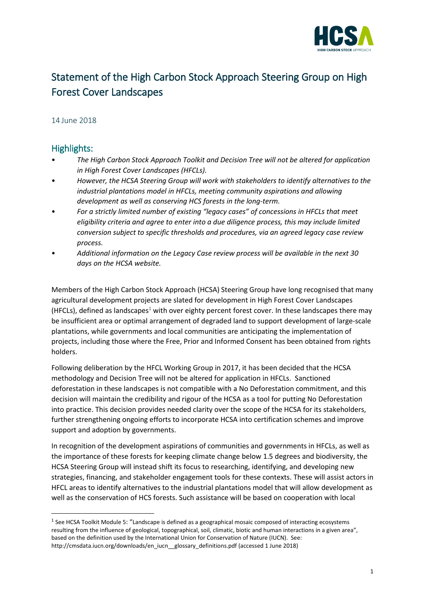

## Statement of the High Carbon Stock Approach Steering Group on High Forest Cover Landscapes

## 14 June 2018

## Highlights:

**.** 

- *The High Carbon Stock Approach Toolkit and Decision Tree will not be altered for application in High Forest Cover Landscapes (HFCLs).*
- *However, the HCSA Steering Group will work with stakeholders to identify alternatives to the industrial plantations model in HFCLs, meeting community aspirations and allowing development as well as conserving HCS forests in the long-term.*
- *For a strictly limited number of existing "legacy cases" of concessions in HFCLs that meet eligibility criteria and agree to enter into a due diligence process, this may include limited conversion subject to specific thresholds and procedures, via an agreed legacy case review process.*
- *Additional information on the Legacy Case review process will be available in the next 30 days on the HCSA website.*

Members of the High Carbon Stock Approach (HCSA) Steering Group have long recognised that many agricultural development projects are slated for development in High Forest Cover Landscapes (HFCLs), defined as landscapes<sup>1</sup> with over eighty percent forest cover. In these landscapes there may be insufficient area or optimal arrangement of degraded land to support development of large-scale plantations, while governments and local communities are anticipating the implementation of projects, including those where the Free, Prior and Informed Consent has been obtained from rights holders.

Following deliberation by the HFCL Working Group in 2017, it has been decided that the HCSA methodology and Decision Tree will not be altered for application in HFCLs. Sanctioned deforestation in these landscapes is not compatible with a No Deforestation commitment, and this decision will maintain the credibility and rigour of the HCSA as a tool for putting No Deforestation into practice. This decision provides needed clarity over the scope of the HCSA for its stakeholders, further strengthening ongoing efforts to incorporate HCSA into certification schemes and improve support and adoption by governments.

In recognition of the development aspirations of communities and governments in HFCLs, as well as the importance of these forests for keeping climate change below 1.5 degrees and biodiversity, the HCSA Steering Group will instead shift its focus to researching, identifying, and developing new strategies, financing, and stakeholder engagement tools for these contexts. These will assist actors in HFCL areas to identify alternatives to the industrial plantations model that will allow development as well as the conservation of HCS forests. Such assistance will be based on cooperation with local

<sup>&</sup>lt;sup>1</sup> See HCSA Toolkit Module 5: "Landscape is defined as a geographical mosaic composed of interacting ecosystems resulting from the influence of geological, topographical, soil, climatic, biotic and human interactions in a given area", based on the definition used by the International Union for Conservation of Nature (IUCN). See: http://cmsdata.iucn.org/downloads/en\_iucn\_\_glossary\_definitions.pdf (accessed 1 June 2018)